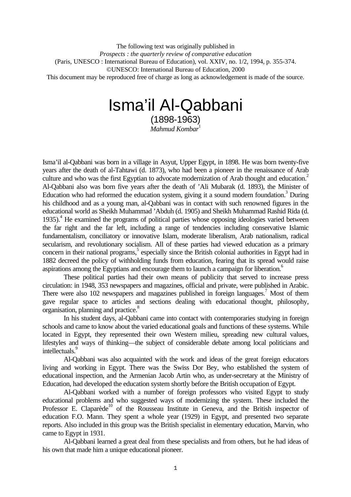The following text was originally published in *Prospects : the quarterly review of comparative education* (Paris, UNESCO : International Bureau of Education), vol. XXIV, no. 1/2, 1994, p. 355-374. ©UNESCO: International Bureau of Education, 2000 This document may be reproduced free of charge as long as acknowledgement is made of the source.

# Isma'il Al-Qabbani

(1898-1963) *Mahmud Kombar*<sup>1</sup>

Isma'il al-Qabbani was born in a village in Asyut, Upper Egypt, in 1898. He was born twenty-five years after the death of al-Tahtawi (d. 1873), who had been a pioneer in the renaissance of Arab culture and who was the first Egyptian to advocate modernization of Arab thought and education.<sup>2</sup> Al-Qabbani also was born five years after the death of 'Ali Mubarak (d. 1893), the Minister of Education who had reformed the education system, giving it a sound modern foundation.<sup>3</sup> During his childhood and as a young man, al-Qabbani was in contact with such renowned figures in the educational world as Sheikh Muhammad 'Abduh (d. 1905) and Sheikh Muhammad Rashid Rida (d. 1935).<sup>4</sup> He examined the programs of political parties whose opposing ideologies varied between the far right and the far left, including a range of tendencies including conservative Islamic fundamentalism, conciliatory or innovative Islam, moderate liberalism, Arab nationalism, radical secularism, and revolutionary socialism. All of these parties had viewed education as a primary concern in their national programs,<sup>5</sup> especially since the British colonial authorities in Egypt had in 1882 decreed the policy of withholding funds from education, fearing that its spread would raise aspirations among the Egyptians and encourage them to launch a campaign for liberation.<sup>6</sup>

These political parties had their own means of publicity that served to increase press circulation: in 1948, 353 newspapers and magazines, official and private, were published in Arabic. There were also 102 newspapers and magazines published in foreign languages.<sup>7</sup> Most of them gave regular space to articles and sections dealing with educational thought, philosophy, organisation, planning and practice.<sup>8</sup>

In his student days, al-Qabbani came into contact with contemporaries studying in foreign schools and came to know about the varied educational goals and functions of these systems. While located in Egypt, they represented their own Western milieu, spreading new cultural values, lifestyles and ways of thinking—the subject of considerable debate among local politicians and intellectuals.

Al-Qabbani was also acquainted with the work and ideas of the great foreign educators living and working in Egypt. There was the Swiss Dor Bey, who established the system of educational inspection, and the Armenian Jacob Artin who, as under-secretary at the Ministry of Education, had developed the education system shortly before the British occupation of Egypt.

Al-Qabbani worked with a number of foreign professors who visited Egypt to study educational problems and who suggested ways of modernizing the system. These included the Professor E. Claparède<sup>10</sup> of the Rousseau Institute in Geneva, and the British inspector of education F.O. Mann. They spent a whole year (1929) in Egypt, and presented two separate reports. Also included in this group was the British specialist in elementary education, Marvin, who came to Egypt in 1931.

Al-Qabbani learned a great deal from these specialists and from others, but he had ideas of his own that made him a unique educational pioneer.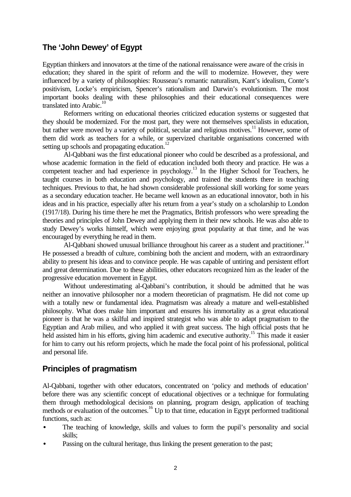## **The 'John Dewey' of Egypt**

Egyptian thinkers and innovators at the time of the national renaissance were aware of the crisis in education; they shared in the spirit of reform and the will to modernize. However, they were influenced by a variety of philosophies: Rousseau's romantic naturalism, Kant's idealism, Conte's positivism, Locke's empiricism, Spencer's rationalism and Darwin's evolutionism. The most important books dealing with these philosophies and their educational consequences were translated into Arabic. $10$ 

Reformers writing on educational theories criticized education systems or suggested that they should be modernized. For the most part, they were not themselves specialists in education, but rather were moved by a variety of political, secular and religious motives.<sup>11</sup> However, some of them did work as teachers for a while, or supervized charitable organisations concerned with setting up schools and propagating education.<sup>12</sup>

Al-Qabbani was the first educational pioneer who could be described as a professional, and whose academic formation in the field of education included both theory and practice. He was a competent teacher and had experience in psychology.<sup>13</sup> In the Higher School for Teachers, he taught courses in both education and psychology, and trained the students there in teaching techniques. Previous to that, he had shown considerable professional skill working for some years as a secondary education teacher. He became well known as an educational innovator, both in his ideas and in his practice, especially after his return from a year's study on a scholarship to London (1917/18). During his time there he met the Pragmatics, British professors who were spreading the theories and principles of John Dewey and applying them in their new schools. He was also able to study Dewey's works himself, which were enjoying great popularity at that time, and he was encouraged by everything he read in them.

Al-Qabbani showed unusual brilliance throughout his career as a student and practitioner.<sup>14</sup> He possessed a breadth of culture, combining both the ancient and modern, with an extraordinary ability to present his ideas and to convince people. He was capable of untiring and persistent effort and great determination. Due to these abilities, other educators recognized him as the leader of the progressive education movement in Egypt.

Without underestimating al-Qabbani's contribution, it should be admitted that he was neither an innovative philosopher nor a modern theoretician of pragmatism. He did not come up with a totally new or fundamental idea. Pragmatism was already a mature and well-established philosophy. What does make him important and ensures his immortality as a great educational pioneer is that he was a skilful and inspired strategist who was able to adapt pragmatism to the Egyptian and Arab milieu, and who applied it with great success. The high official posts that he held assisted him in his efforts, giving him academic and executive authority.<sup>15</sup> This made it easier for him to carry out his reform projects, which he made the focal point of his professional, political and personal life.

# **Principles of pragmatism**

Al-Qabbani, together with other educators, concentrated on 'policy and methods of education' before there was any scientific concept of educational objectives or a technique for formulating them through methodological decisions on planning, program design, application of teaching methods or evaluation of the outcomes.<sup>16</sup> Up to that time, education in Egypt performed traditional functions, such as:

- The teaching of knowledge, skills and values to form the pupil's personality and social skills;
- Passing on the cultural heritage, thus linking the present generation to the past;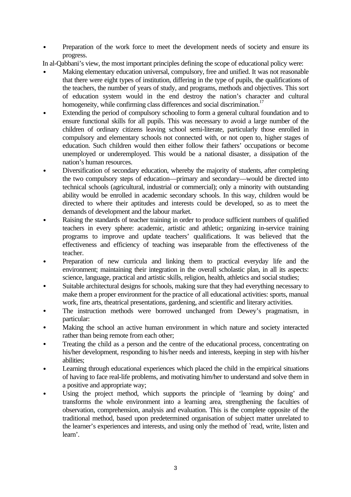• Preparation of the work force to meet the development needs of society and ensure its progress.

In al-Qabbani's view, the most important principles defining the scope of educational policy were:

- Making elementary education universal, compulsory, free and unified. It was not reasonable that there were eight types of institution, differing in the type of pupils, the qualifications of the teachers, the number of years of study, and programs, methods and objectives. This sort of education system would in the end destroy the nation's character and cultural homogeneity, while confirming class differences and social discrimination.<sup>17</sup>
- Extending the period of compulsory schooling to form a general cultural foundation and to ensure functional skills for all pupils. This was necessary to avoid a large number of the children of ordinary citizens leaving school semi-literate, particularly those enrolled in compulsory and elementary schools not connected with, or not open to, higher stages of education. Such children would then either follow their fathers' occupations or become unemployed or underemployed. This would be a national disaster, a dissipation of the nation's human resources.
- Diversification of secondary education, whereby the majority of students, after completing the two compulsory steps of education—primary and secondary—would be directed into technical schools (agricultural, industrial or commercial); only a minority with outstanding ability would be enrolled in academic secondary schools. In this way, children would be directed to where their aptitudes and interests could be developed, so as to meet the demands of development and the labour market.
- Raising the standards of teacher training in order to produce sufficient numbers of qualified teachers in every sphere: academic, artistic and athletic; organizing in-service training programs to improve and update teachers' qualifications. It was believed that the effectiveness and efficiency of teaching was inseparable from the effectiveness of the teacher.
- Preparation of new curricula and linking them to practical everyday life and the environment; maintaining their integration in the overall scholastic plan, in all its aspects: science, language, practical and artistic skills, religion, health, athletics and social studies;
- Suitable architectural designs for schools, making sure that they had everything necessary to make them a proper environment for the practice of all educational activities: sports, manual work, fine arts, theatrical presentations, gardening, and scientific and literary activities.
- The instruction methods were borrowed unchanged from Dewey's pragmatism, in particular:
- Making the school an active human environment in which nature and society interacted rather than being remote from each other;
- Treating the child as a person and the centre of the educational process, concentrating on his/her development, responding to his/her needs and interests, keeping in step with his/her abilities;
- Learning through educational experiences which placed the child in the empirical situations of having to face real-life problems, and motivating him/her to understand and solve them in a positive and appropriate way;
- Using the project method, which supports the principle of 'learning by doing' and transforms the whole environment into a learning area, strengthening the faculties of observation, comprehension, analysis and evaluation. This is the complete opposite of the traditional method, based upon predetermined organisation of subject matter unrelated to the learner's experiences and interests, and using only the method of 'read, write, listen and learn'.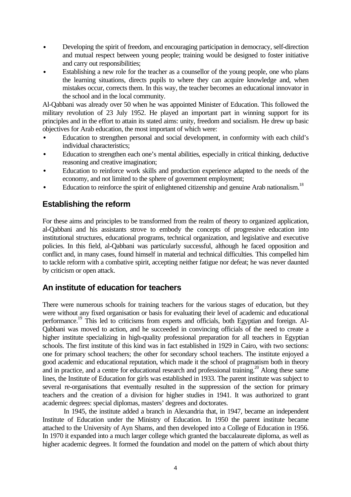- Developing the spirit of freedom, and encouraging participation in democracy, self-direction and mutual respect between young people; training would be designed to foster initiative and carry out responsibilities;
- Establishing a new role for the teacher as a counsellor of the young people, one who plans the learning situations, directs pupils to where they can acquire knowledge and, when mistakes occur, corrects them. In this way, the teacher becomes an educational innovator in the school and in the local community.

Al-Qabbani was already over 50 when he was appointed Minister of Education. This followed the military revolution of 23 July 1952. He played an important part in winning support for its principles and in the effort to attain its stated aims: unity, freedom and socialism. He drew up basic objectives for Arab education, the most important of which were:

- Education to strengthen personal and social development, in conformity with each child's individual characteristics;
- Education to strengthen each one's mental abilities, especially in critical thinking, deductive reasoning and creative imagination;
- Education to reinforce work skills and production experience adapted to the needs of the economy, and not limited to the sphere of government employment;
- Education to reinforce the spirit of enlightened citizenship and genuine Arab nationalism.<sup>18</sup>

# **Establishing the reform**

For these aims and principles to be transformed from the realm of theory to organized application, al-Qabbani and his assistants strove to embody the concepts of progressive education into institutional structures, educational programs, technical organization, and legislative and executive policies. In this field, al-Qabbani was particularly successful, although he faced opposition and conflict and, in many cases, found himself in material and technical difficulties. This compelled him to tackle reform with a combative spirit, accepting neither fatigue nor defeat; he was never daunted by criticism or open attack.

# **An institute of education for teachers**

There were numerous schools for training teachers for the various stages of education, but they were without any fixed organisation or basis for evaluating their level of academic and educational performance.<sup>19</sup> This led to criticisms from experts and officials, both Egyptian and foreign. Al-Qabbani was moved to action, and he succeeded in convincing officials of the need to create a higher institute specializing in high-quality professional preparation for all teachers in Egyptian schools. The first institute of this kind was in fact established in 1929 in Cairo, with two sections: one for primary school teachers; the other for secondary school teachers. The institute enjoyed a good academic and educational reputation, which made it the school of pragmatism both in theory and in practice, and a centre for educational research and professional training.<sup>20</sup> Along these same lines, the Institute of Education for girls was established in 1933. The parent institute was subject to several re-organisations that eventually resulted in the suppression of the section for primary teachers and the creation of a division for higher studies in 1941. It was authorized to grant academic degrees: special diplomas, masters' degrees and doctorates.

In 1945, the institute added a branch in Alexandria that, in 1947, became an independent Institute of Education under the Ministry of Education. In 1950 the parent institute became attached to the University of Ayn Shams, and then developed into a College of Education in 1956. In 1970 it expanded into a much larger college which granted the baccalaureate diploma, as well as higher academic degrees. It formed the foundation and model on the pattern of which about thirty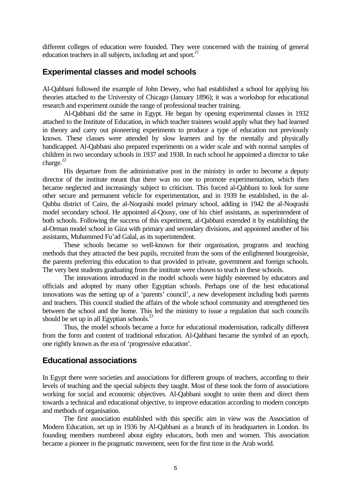different colleges of education were founded. They were concerned with the training of general education teachers in all subjects, including art and sport. $21$ 

## **Experimental classes and model schools**

Al-Qabbani followed the example of John Dewey, who had established a school for applying his theories attached to the University of Chicago (January 1896); it was a workshop for educational research and experiment outside the range of professional teacher training.

Al-Qabbani did the same in Egypt. He began by opening experimental classes in 1932 attached to the Institute of Education, in which teacher trainees would apply what they had learned in theory and carry out pioneering experiments to produce a type of education not previously known. These classes were attended by slow learners and by the mentally and physically handicapped. Al-Qabbani also prepared experiments on a wider scale and with normal samples of children in two secondary schools in 1937 and 1938. In each school he appointed a director to take charge. $^{22}$ 

His departure from the administrative post in the ministry in order to become a deputy director of the institute meant that there was no one to promote experimentation, which then became neglected and increasingly subject to criticism. This forced al-Qabbani to look for some other secure and permanent vehicle for experimentation, and in 1939 he established, in the al-Qubba district of Cairo, the al-Noqrashi model primary school, adding in 1942 the al-Noqrashi model secondary school. He appointed al-Qousy, one of his chief assistants, as superintendent of both schools. Following the success of this experiment, al-Qabbani extended it by establishing the al-Orman model school in Giza with primary and secondary divisions, and appointed another of his assistants, Muhammed Fu'ad Galal, as its superintendent.

These schools became so well-known for their organisation, programs and teaching methods that they attracted the best pupils, recruited from the sons of the enlightened bourgeoisie, the parents preferring this education to that provided in private, government and foreign schools. The very best students graduating from the institute were chosen to teach in these schools.

The innovations introduced in the model schools were highly esteemed by educators and officials and adopted by many other Egyptian schools. Perhaps one of the best educational innovations was the setting up of a 'parents' council', a new development including both parents and teachers. This council studied the affairs of the whole school community and strengthened ties between the school and the home. This led the ministry to issue a regulation that such councils should be set up in all Egyptian schools. $^{23}$ 

Thus, the model schools became a force for educational modernisation, radically different from the form and content of traditional education. Al-Qabbani became the symbol of an epoch, one rightly known as the era of 'progressive education'.

## **Educational associations**

In Egypt there were societies and associations for different groups of teachers, according to their levels of teaching and the special subjects they taught. Most of these took the form of associations working for social and economic objectives. Al-Qabbani sought to unite them and direct them towards a technical and educational objective, to improve education according to modern concepts and methods of organisation.

The first association established with this specific aim in view was the Association of Modern Education, set up in 1936 by Al-Qabbani as a branch of its headquarters in London. Its founding members numbered about eighty educators, both men and women. This association became a pioneer in the pragmatic movement, seen for the first time in the Arab world.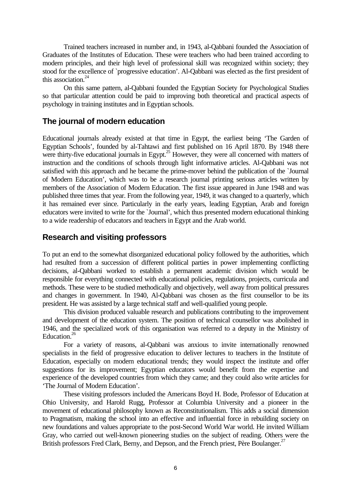Trained teachers increased in number and, in 1943, al-Qabbani founded the Association of Graduates of the Institutes of Education. These were teachers who had been trained according to modern principles, and their high level of professional skill was recognized within society; they stood for the excellence of `progressive education'. Al-Qabbani was elected as the first president of this association.<sup>24</sup>

On this same pattern, al-Qabbani founded the Egyptian Society for Psychological Studies so that particular attention could be paid to improving both theoretical and practical aspects of psychology in training institutes and in Egyptian schools.

## **The journal of modern education**

Educational journals already existed at that time in Egypt, the earliest being 'The Garden of Egyptian Schools', founded by al-Tahtawi and first published on 16 April 1870. By 1948 there were thirty-five educational journals in Egypt.<sup>25</sup> However, they were all concerned with matters of instruction and the conditions of schools through light informative articles. Al-Qabbani was not satisfied with this approach and he became the prime-mover behind the publication of the `Journal of Modern Education', which was to be a research journal printing serious articles written by members of the Association of Modern Education. The first issue appeared in June 1948 and was published three times that year. From the following year, 1949, it was changed to a quarterly, which it has remained ever since. Particularly in the early years, leading Egyptian, Arab and foreign educators were invited to write for the `Journal', which thus presented modern educational thinking to a wide readership of educators and teachers in Egypt and the Arab world.

## **Research and visiting professors**

To put an end to the somewhat disorganized educational policy followed by the authorities, which had resulted from a succession of different political parties in power implementing conflicting decisions, al-Qabbani worked to establish a permanent academic division which would be responsible for everything connected with educational policies, regulations, projects, curricula and methods. These were to be studied methodically and objectively, well away from political pressures and changes in government. In 1940, Al-Qabbani was chosen as the first counsellor to be its president. He was assisted by a large technical staff and well-qualified young people.

This division produced valuable research and publications contributing to the improvement and development of the education system. The position of technical counsellor was abolished in 1946, and the specialized work of this organisation was referred to a deputy in the Ministry of Education.<sup>26</sup>

For a variety of reasons, al-Qabbani was anxious to invite internationally renowned specialists in the field of progressive education to deliver lectures to teachers in the Institute of Education, especially on modern educational trends; they would inspect the institute and offer suggestions for its improvement; Egyptian educators would benefit from the expertise and experience of the developed countries from which they came; and they could also write articles for 'The Journal of Modern Education'.

These visiting professors included the Americans Boyd H. Bode, Professor of Education at Ohio University, and Harold Rugg, Professor at Columbia University and a pioneer in the movement of educational philosophy known as Reconstitutionalism. This adds a social dimension to Pragmatism, making the school into an effective and influential force in rebuilding society on new foundations and values appropriate to the post-Second World War world. He invited William Gray, who carried out well-known pioneering studies on the subject of reading. Others were the British professors Fred Clark, Berny, and Depson, and the French priest, Père Boulanger.<sup>27</sup>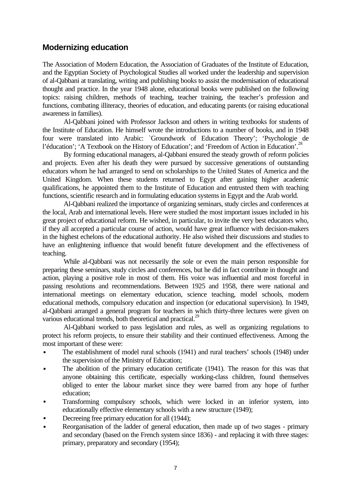# **Modernizing education**

The Association of Modern Education, the Association of Graduates of the Institute of Education, and the Egyptian Society of Psychological Studies all worked under the leadership and supervision of al-Qabbani at translating, writing and publishing books to assist the modernisation of educational thought and practice. In the year 1948 alone, educational books were published on the following topics: raising children, methods of teaching, teacher training, the teacher's profession and functions, combating illiteracy, theories of education, and educating parents (or raising educational awareness in families).

Al-Qabbani joined with Professor Jackson and others in writing textbooks for students of the Institute of Education. He himself wrote the introductions to a number of books, and in 1948 four were translated into Arabic: `Groundwork of Education Theory'; 'Psychologie de l'éducation'; 'A Textbook on the History of Education'; and 'Freedom of Action in Education'.<sup>28</sup>

By forming educational managers, al-Qabbani ensured the steady growth of reform policies and projects. Even after his death they were pursued by successive generations of outstanding educators whom he had arranged to send on scholarships to the United States of America and the United Kingdom. When these students returned to Egypt after gaining higher academic qualifications, he appointed them to the Institute of Education and entrusted them with teaching functions, scientific research and in formulating education systems in Egypt and the Arab world.

Al-Qabbani realized the importance of organizing seminars, study circles and conferences at the local, Arab and international levels. Here were studied the most important issues included in his great project of educational reform. He wished, in particular, to invite the very best educators who, if they all accepted a particular course of action, would have great influence with decision-makers in the highest echelons of the educational authority. He also wished their discussions and studies to have an enlightening influence that would benefit future development and the effectiveness of teaching.

While al-Qabbani was not necessarily the sole or even the main person responsible for preparing these seminars, study circles and conferences, but he did in fact contribute in thought and action, playing a positive role in most of them. His voice was influential and most forceful in passing resolutions and recommendations. Between 1925 and 1958, there were national and international meetings on elementary education, science teaching, model schools, modern educational methods, compulsory education and inspection (or educational supervision). In 1949, al-Qabbani arranged a general program for teachers in which thirty-three lectures were given on various educational trends, both theoretical and practical.<sup>29</sup>

Al-Qabbani worked to pass legislation and rules, as well as organizing regulations to protect his reform projects, to ensure their stability and their continued effectiveness. Among the most important of these were:

- The establishment of model rural schools (1941) and rural teachers' schools (1948) under the supervision of the Ministry of Education;
- The abolition of the primary education certificate (1941). The reason for this was that anyone obtaining this certificate, especially working-class children, found themselves obliged to enter the labour market since they were barred from any hope of further education;
- Transforming compulsory schools, which were locked in an inferior system, into educationally effective elementary schools with a new structure (1949);
- Decreeing free primary education for all (1944);
- Reorganisation of the ladder of general education, then made up of two stages primary and secondary (based on the French system since 1836) - and replacing it with three stages: primary, preparatory and secondary (1954);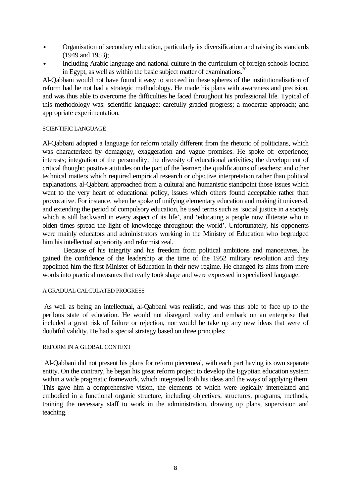- Organisation of secondary education, particularly its diversification and raising its standards (1949 and 1953);
- Including Arabic language and national culture in the curriculum of foreign schools located in Egypt, as well as within the basic subject matter of examinations.<sup>30</sup>

Al-Qabbani would not have found it easy to succeed in these spheres of the institutionalisation of reform had he not had a strategic methodology. He made his plans with awareness and precision, and was thus able to overcome the difficulties he faced throughout his professional life. Typical of this methodology was: scientific language; carefully graded progress; a moderate approach; and appropriate experimentation.

#### SCIENTIFIC LANGUAGE

Al-Qabbani adopted a language for reform totally different from the rhetoric of politicians, which was characterized by demagogy, exaggeration and vague promises. He spoke of: experience; interests; integration of the personality; the diversity of educational activities; the development of critical thought; positive attitudes on the part of the learner; the qualifications of teachers; and other technical matters which required empirical research or objective interpretation rather than political explanations. al-Qabbani approached from a cultural and humanistic standpoint those issues which went to the very heart of educational policy, issues which others found acceptable rather than provocative. For instance, when he spoke of unifying elementary education and making it universal, and extending the period of compulsory education, he used terms such as 'social justice in a society which is still backward in every aspect of its life', and 'educating a people now illiterate who in olden times spread the light of knowledge throughout the world'. Unfortunately, his opponents were mainly educators and administrators working in the Ministry of Education who begrudged him his intellectual superiority and reformist zeal.

Because of his integrity and his freedom from political ambitions and manoeuvres, he gained the confidence of the leadership at the time of the 1952 military revolution and they appointed him the first Minister of Education in their new regime. He changed its aims from mere words into practical measures that really took shape and were expressed in specialized language.

#### A GRADUAL CALCULATED PROGRESS

 As well as being an intellectual, al-Qabbani was realistic, and was thus able to face up to the perilous state of education. He would not disregard reality and embark on an enterprise that included a great risk of failure or rejection, nor would he take up any new ideas that were of doubtful validity. He had a special strategy based on three principles:

#### REFORM IN A GLOBAL CONTEXT

 Al-Qabbani did not present his plans for reform piecemeal, with each part having its own separate entity. On the contrary, he began his great reform project to develop the Egyptian education system within a wide pragmatic framework, which integrated both his ideas and the ways of applying them. This gave him a comprehensive vision, the elements of which were logically interrelated and embodied in a functional organic structure, including objectives, structures, programs, methods, training the necessary staff to work in the administration, drawing up plans, supervision and teaching.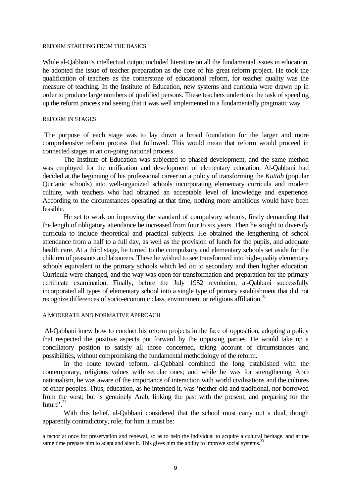#### REFORM STARTING FROM THE BASICS

While al-Oabbani's intellectual output included literature on all the fundamental issues in education, he adopted the issue of teacher preparation as the core of his great reform project. He took the qualification of teachers as the cornerstone of educational reform, for teacher quality was the measure of teaching. In the Institute of Education, new systems and curricula were drawn up in order to produce large numbers of qualified persons. These teachers undertook the task of speeding up the reform process and seeing that it was well implemented in a fundamentally pragmatic way.

#### REFORM IN STAGES

 The purpose of each stage was to lay down a broad foundation for the larger and more comprehensive reform process that followed. This would mean that reform would proceed in connected stages in an on-going national process.

The Institute of Education was subjected to phased development, and the same method was employed for the unification and development of elementary education. Al-Qabbani had decided at the beginning of his professional career on a policy of transforming the *Kuttab* (popular Qur'anic schools) into well-organized schools incorporating elementary curricula and modern culture, with teachers who had obtained an acceptable level of knowledge and experience. According to the circumstances operating at that time, nothing more ambitious would have been feasible.

He set to work on improving the standard of compulsory schools, firstly demanding that the length of obligatory attendance be increased from four to six years. Then he sought to diversify curricula to include theoretical and practical subjects. He obtained the lengthening of school attendance from a half to a full day, as well as the provision of lunch for the pupils, and adequate health care. At a third stage, he turned to the compulsory and elementary schools set aside for the children of peasants and labourers. These he wished to see transformed into high-quality elementary schools equivalent to the primary schools which led on to secondary and then higher education. Curricula were changed, and the way was open for transformation and preparation for the primary certificate examination. Finally, before the July 1952 revolution, al-Qabbani successfully incorporated all types of elementary school into a single type of primary establishment that did not recognize differences of socio-economic class, environment or religious affiliation.<sup>31</sup>

#### A MODERATE AND NORMATIVE APPROACH

 Al-Qabbani knew how to conduct his reform projects in the face of opposition, adopting a policy that respected the positive aspects put forward by the opposing parties. He would take up a conciliatory position to satisfy all those concerned, taking account of circumstances and possibilities, without compromising the fundamental methodology of the reform.

In the route toward reform, al-Qabbani combined the long established with the contemporary, religious values with secular ones; and while he was for strengthening Arab nationalism, he was aware of the importance of interaction with world civilisations and the cultures of other peoples. Thus, education, as he intended it, was 'neither old and traditional, nor borrowed from the west; but is genuinely Arab, linking the past with the present, and preparing for the future'.<sup>32</sup>

With this belief, al-Qabbani considered that the school must carry out a dual, though apparently contradictory, role; for him it must be:

a factor at once for preservation and renewal, so as to help the individual to acquire a cultural heritage, and at the same time prepare him to adapt and alter it. This gives him the ability to improve social systems.<sup>33</sup>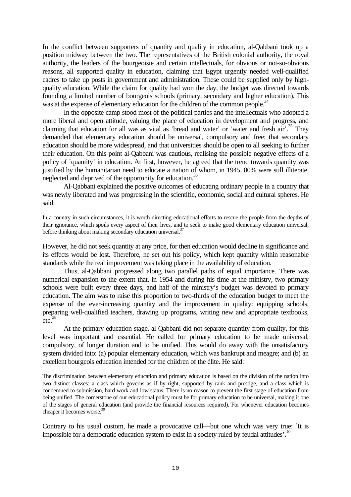In the conflict between supporters of quantity and quality in education, al-Qabbani took up a position midway between the two. The representatives of the British colonial authority, the royal authority, the leaders of the bourgeoisie and certain intellectuals, for obvious or not-so-obvious reasons, all supported quality in education, claiming that Egypt urgently needed well-qualified cadres to take up posts in government and administration. These could be supplied only by highquality education. While the claim for quality had won the day, the budget was directed towards founding a limited number of bourgeois schools (primary, secondary and higher education). This was at the expense of elementary education for the children of the common people.<sup>34</sup>

In the opposite camp stood most of the political parties and the intellectuals who adopted a more liberal and open attitude, valuing the place of education in development and progress, and claiming that education for all was as vital as 'bread and water' or 'water and fresh air'.<sup>35</sup> They demanded that elementary education should be universal, compulsory and free; that secondary education should be more widespread, and that universities should be open to all seeking to further their education. On this point al-Qabbani was cautious, realising the possible negative effects of a policy of `quantity' in education. At first, however, he agreed that the trend towards quantity was justified by the humanitarian need to educate a nation of whom, in 1945, 80% were still illiterate, neglected and deprived of the opportunity for education.<sup>36</sup>

Al-Qabbani explained the positive outcomes of educating ordinary people in a country that was newly liberated and was progressing in the scientific, economic, social and cultural spheres. He said:

In a country in such circumstances, it is worth directing educational efforts to rescue the people from the depths of their ignorance, which spoils every aspect of their lives, and to seek to make good elementary education universal, before thinking about making secondary education universal.<sup>37</sup>

However, he did not seek quantity at any price, for then education would decline in significance and its effects would be lost. Therefore, he set out his policy, which kept quantity within reasonable standards while the real improvement was taking place in the availability of education.

Thus, al-Qabbani progressed along two parallel paths of equal importance. There was numerical expansion to the extent that, in 1954 and during his time at the ministry, two primary schools were built every three days, and half of the ministry's budget was devoted to primary education. The aim was to raise this proportion to two-thirds of the education budget to meet the expense of the ever-increasing quantity and the improvement in quality: equipping schools, preparing well-qualified teachers, drawing up programs, writing new and appropriate textbooks,  $etc.<sup>38</sup>$ 

At the primary education stage, al-Qabbani did not separate quantity from quality, for this level was important and essential. He called for primary education to be made universal, compulsory, of longer duration and to be unified. This would do away with the unsatisfactory system divided into: (a) popular elementary education, which was bankrupt and meagre; and (b) an excellent bourgeois education intended for the children of the élite. He said:

The discrimination between elementary education and primary education is based on the division of the nation into two distinct classes: a class which governs as if by right, supported by rank and prestige, and a class which is condemned to submission, hard work and low status. There is no reason to prevent the first stage of education from being unified. The cornerstone of our educational policy must be for primary education to be universal, making it one of the stages of general education (and provide the financial resources required). For whenever education becomes cheaper it becomes worse.<sup>39</sup>

Contrary to his usual custom, he made a provocative call—but one which was very true: `It is impossible for a democratic education system to exist in a society ruled by feudal attitudes'.<sup>40</sup>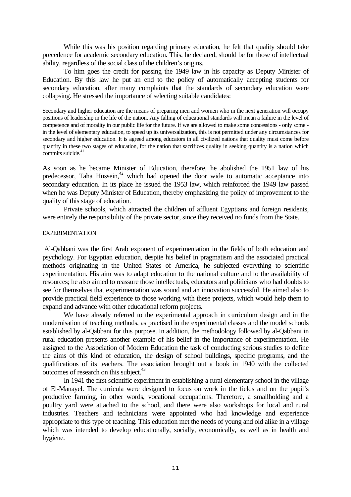While this was his position regarding primary education, he felt that quality should take precedence for academic secondary education. This, he declared, should be for those of intellectual ability, regardless of the social class of the children's origins.

To him goes the credit for passing the 1949 law in his capacity as Deputy Minister of Education. By this law he put an end to the policy of automatically accepting students for secondary education, after many complaints that the standards of secondary education were collapsing. He stressed the importance of selecting suitable candidates:

Secondary and higher education are the means of preparing men and women who in the next generation will occupy positions of leadership in the life of the nation. Any falling of educational standards will mean a failure in the level of competence and of morality in our public life for the future. If we are allowed to make some concessions - only some in the level of elementary education, to speed up its universalization, this is not permitted under any circumstances for secondary and higher education. It is agreed among educators in all civilized nations that quality must come before quantity in these two stages of education, for the nation that sacrifices quality in seeking quantity is a nation which commits suicide.<sup>4</sup>

As soon as he became Minister of Education, therefore, he abolished the 1951 law of his predecessor, Taha Hussein, $42$  which had opened the door wide to automatic acceptance into secondary education. In its place he issued the 1953 law, which reinforced the 1949 law passed when he was Deputy Minister of Education, thereby emphasizing the policy of improvement to the quality of this stage of education.

Private schools, which attracted the children of affluent Egyptians and foreign residents, were entirely the responsibility of the private sector, since they received no funds from the State.

#### EXPERIMENTATION

 Al-Qabbani was the first Arab exponent of experimentation in the fields of both education and psychology. For Egyptian education, despite his belief in pragmatism and the associated practical methods originating in the United States of America, he subjected everything to scientific experimentation. His aim was to adapt education to the national culture and to the availability of resources; he also aimed to reassure those intellectuals, educators and politicians who had doubts to see for themselves that experimentation was sound and an innovation successful. He aimed also to provide practical field experience to those working with these projects, which would help them to expand and advance with other educational reform projects.

We have already referred to the experimental approach in curriculum design and in the modernisation of teaching methods, as practised in the experimental classes and the model schools established by al-Qabbani for this purpose. In addition, the methodology followed by al-Qabbani in rural education presents another example of his belief in the importance of experimentation. He assigned to the Association of Modern Education the task of conducting serious studies to define the aims of this kind of education, the design of school buildings, specific programs, and the qualifications of its teachers. The association brought out a book in 1940 with the collected outcomes of research on this subject.<sup>43</sup>

In 1941 the first scientific experiment in establishing a rural elementary school in the village of El-Manayel. The curricula were designed to focus on work in the fields and on the pupil's productive farming, in other words, vocational occupations. Therefore, a smallholding and a poultry yard were attached to the school, and there were also workshops for local and rural industries. Teachers and technicians were appointed who had knowledge and experience appropriate to this type of teaching. This education met the needs of young and old alike in a village which was intended to develop educationally, socially, economically, as well as in health and hygiene.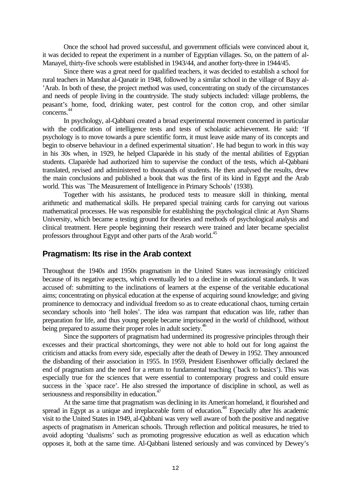Once the school had proved successful, and government officials were convinced about it, it was decided to repeat the experiment in a number of Egyptian villages. So, on the pattern of al-Manayel, thirty-five schools were established in 1943/44, and another forty-three in 1944/45.

Since there was a great need for qualified teachers, it was decided to establish a school for rural teachers in Manshat al-Qanatir in 1948, followed by a similar school in the village of Bayy al- 'Arab. In both of these, the project method was used, concentrating on study of the circumstances and needs of people living in the countryside. The study subjects included: village problems, the peasant's home, food, drinking water, pest control for the cotton crop, and other similar concerns. 44

In psychology, al-Qabbani created a broad experimental movement concerned in particular with the codification of intelligence tests and tests of scholastic achievement. He said: 'If psychology is to move towards a pure scientific form, it must leave aside many of its concepts and begin to observe behaviour in a defined experimental situation'. He had begun to work in this way in his 30s when, in 1929, he helped Claparède in his study of the mental abilities of Egyptian students. Claparède had authorized him to supervise the conduct of the tests, which al-Qabbani translated, revised and administered to thousands of students. He then analysed the results, drew the main conclusions and published a book that was the first of its kind in Egypt and the Arab world. This was `The Measurement of Intelligence in Primary Schools' (1938).

Together with his assistants, he produced tests to measure skill in thinking, mental arithmetic and mathematical skills. He prepared special training cards for carrying out various mathematical processes. He was responsible for establishing the psychological clinic at Ayn Shams University, which became a testing ground for theories and methods of psychological analysis and clinical treatment. Here people beginning their research were trained and later became specialist professors throughout Egypt and other parts of the Arab world.<sup>45</sup>

# **Pragmatism: Its rise in the Arab context**

Throughout the 1940s and 1950s pragmatism in the United States was increasingly criticized because of its negative aspects, which eventually led to a decline in educational standards. It was accused of: submitting to the inclinations of learners at the expense of the veritable educational aims; concentrating on physical education at the expense of acquiring sound knowledge; and giving prominence to democracy and individual freedom so as to create educational chaos, turning certain secondary schools into 'hell holes'. The idea was rampant that education was life, rather than preparation for life, and thus young people became imprisoned in the world of childhood, without being prepared to assume their proper roles in adult society.<sup>46</sup>

Since the supporters of pragmatism had undermined its progressive principles through their excesses and their practical shortcomings, they were not able to hold out for long against the criticism and attacks from every side, especially after the death of Dewey in 1952. They announced the disbanding of their association in 1955. In 1959, President Eisenhower officially declared the end of pragmatism and the need for a return to fundamental teaching (`back to basics'). This was especially true for the sciences that were essential to contemporary progress and could ensure success in the `space race'. He also stressed the importance of discipline in school, as well as seriousness and responsibility in education.<sup>47</sup>

At the same time that pragmatism was declining in its American homeland, it flourished and spread in Egypt as a unique and irreplaceable form of education.<sup>48</sup> Especially after his academic visit to the United States in 1949, al-Qabbani was very well aware of both the positive and negative aspects of pragmatism in American schools. Through reflection and political measures, he tried to avoid adopting 'dualisms' such as promoting progressive education as well as education which opposes it, both at the same time. Al-Qabbani listened seriously and was convinced by Dewey's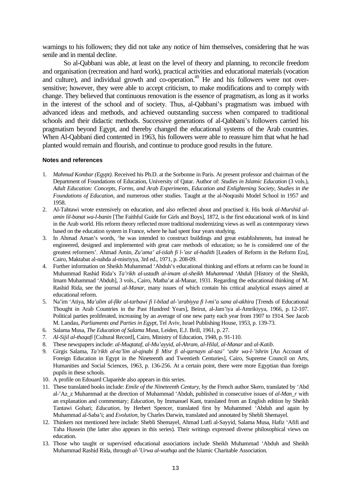warnings to his followers; they did not take any notice of him themselves, considering that he was senile and in mental decline.

So al-Qabbani was able, at least on the level of theory and planning, to reconcile freedom and organisation (recreation and hard work), practical activities and educational materials (vocation and culture), and individual growth and co-operation.<sup>49</sup> He and his followers were not oversensitive; however, they were able to accept criticism, to make modifications and to comply with change. They believed that continuous renovation is the essence of pragmatism, as long as it works in the interest of the school and of society. Thus, al-Qabbani's pragmatism was imbued with advanced ideas and methods, and achieved outstanding success when compared to traditional schools and their didactic methods. Successive generations of al-Qabbani's followers carried his pragmatism beyond Egypt, and thereby changed the educational systems of the Arab countries. When Al-Qabbani died contented in 1963, his followers were able to reassure him that what he had planted would remain and flourish, and continue to produce good results in the future.

#### **Notes and references**

- 1. *Mahmud Kombar (Egypt).* Received his Ph.D. at the Sorbonne in Paris. At present professor and chairman of the Department of Foundations of Education, University of Qatar. Author of: *Studies in Islamic Education* (3 vols.), *Adult Education: Concepts, Forms, and Arab Experiments, Education and Enlightening Society, Studies in the Foundations of Education*, and numerous other studies. Taught at the al-Noqrashi Model School in 1957 and 1958.
- 2. Al-Tahtawi wrote extensively on education, and also reflected about and practised it. His book *al-Murshid alamin lil-banat wa-l-banin* [The Faithful Guide for Girls and Boys], 1872, is the first educational work of its kind in the Arab world. His reform theory reflected more traditional modernizing views as well as contemporary views based on the education system in France, where he had spent four years studying.
- 3. In Ahmad Aman's words, 'he was intended to construct buildings and great establishments, but instead he engineered, designed and implemented with great care methods of education; so he is considered one of the greatest reformers'. Ahmad Amin, *Zu'ama' al-islah fi l-'asr al-hadith* [Leaders of Reform in the Reform Era], Cairo, Maktabat al-nahda al-misriyya, 3rd ed., 1971, p. 208-09.
- 4. Further information on Sheikh Muhammad 'Abduh's educational thinking and efforts at reform can be found in Muhammad Rashid Rida's *Ta'rikh al-ustadh al-imam al-sheikh Muhammad 'Abduh* [History of the Sheikh, Imam Muhammad 'Abduh], 3 vols., Cairo, Matba'at al-Manar, 1931. Regarding the educational thinking of M. Rashid Rida, see the journal *al-Manar*, many issues of which contain his critical analytical essays aimed at educational reform.
- 5. Na'im 'Atiya, *Ma'alim al-fikr al-tarbawi fi l-bilad al-'arabiyya fi l-mi'a sana al-akhira* [Trends of Educational Thought in Arab Countries in the Past Hundred Years], Beirut, al-Jam'iya al-Amrikiyya, 1966, p. 12-107. Political parties proliferated, increasing by an average of one new party each year from 1907 to 1914. See Jacob M. Landau, *Parliaments and Parties in Egypt*, Tel Aviv, Israel Publishing House, 1953, p. 139-73.
- 6. Salama Musa, *The Education of Salama Musa*, Leiden, E.J. Brill, 1961, p. 27.
- 7. *Al-Sijil al-thaqafi* [Cultural Record], Cairo, Ministry of Education, 1948, p. 91-110.
- 8. These newspapers include: *al-Muqtataf*, *al-Mu'ayyid*, *al-Ahram*, *al-Hilal*, *al-Manar* and *al-Katib*.
- 9. Girgis Salama, *Ta'rikh al-ta'lim al-ajnabi fi Misr fi al-qarnayn al-tasi' 'ashr wa-l-'ishrin* [An Account of Foreign Education in Egypt in the Nineteenth and Twentieth Centuries], Cairo, Supreme Council on Arts, Humanities and Social Sciences, 1963, p. 136-256. At a certain point, there were more Egyptian than foreign pupils in these schools.
- 10. A profile on Edouard Claparède also appears in this series.
- 11. These translated books include: *Emile of the Nineteenth Century*, by the French author Skero, translated by 'Abd al-'Az\_z Muhammad at the direction of Muhammad 'Abduh, published in consecutive issues of *al-Man\_r* with an explanation and commentary; *Education*, by Immanuel Kant, translated from an English edition by Sheikh Tantawi Gohari; *Education*, by Herbert Spencer, translated first by Muhammed 'Abduh and again by Muhammad al-Saba'i; and *Evolution*, by Charles Darwin, translated and annotated by Shebli Shemayel.
- 12. Thinkers not mentioned here include: Shebli Shemayel, Ahmad Lutfi al-Sayyid, Salama Musa, Hafiz 'Afifi and Taha Hussein (the latter also appears in this series). Their writings expressed diverse philosophical views on education.
- 13. Those who taught or supervised educational associations include Sheikh Muhammad 'Abduh and Sheikh Muhammad Rashid Rida, through *al-'Urwa al-wuthqa* and the Islamic Charitable Association.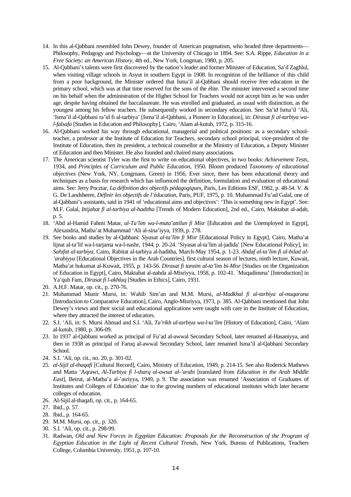- 14. In this al-Qabbani resembled John Dewey, founder of American pragmatism, who headed three departments— Philosophy, Pedagogy and Psychology—at the University of Chicago in 1894. See: S.A. Rippe, *Education in a Free Society: an American History*, 4th ed., New York, Longman, 1980, p. 205.
- 15. Al-Qabbani's talents were first discovered by the nation's leader and former Minister of Education, Sa'd Zaghlul, when visiting village schools in Asyut in southern Egypt in 1908. In recognition of the brilliance of this child from a poor background, the Minister ordered that Isma'il al-Qabbani should receive free education in the primary school, which was at that time reserved for the sons of the élite. The minister intervened a second time on his behalf when the administration of the Higher School for Teachers would not accept him as he was under age, despite having obtained the baccalaureate. He was enrolled and graduated, as usual with distinction, as the youngest among his fellow teachers. He subsequently worked in secondary education. See: Sa'id Isma'il 'Ali, 'Isma'il al-Qabbani ra'id fi al-tarbiya' [Isma'il al-Qabbani, a Pioneer in Education], in: *Dirasat fi al-tarbiya wal-falsafa* [Studies in Education and Philosophy], Cairo, 'Alam al-kutub, 1972, p. 315-16.
- 16. Al-Qabbani worked his way through educational, managerial and political positions: as a secondary schoolteacher, a professor at the Institute of Education for Teachers, secondary school principal, vice-president of the Institute of Education, then its president, a technical counsellor at the Ministry of Education, a Deputy Minister of Education and then Minister. He also founded and chaired many associations.
- 17. The American scientist Tyler was the first to write on educational objectives, in two books: *Achievement Tests*, 1934, and *Principles of Curriculum and Public Education*, 1950. Bloom produced *Taxonomy of educational objectives* (New York, NY, Longmans, Green) in 1956. Ever since, there has been educational theory and techniques as a basis for research which has influenced the definition, formulation and evaluation of educational aims. See: Jerry Pocztar, *La définition des objectifs pédagogiques*, Paris, Les Editions ESF, 1982, p. 48-54. V. & G. De Landsheere, *Définir les objectifs de l'éducation*, Paris, PUF, 1975, p. 10. Muhammad Fu'ad Galal, one of al-Qabbani's assistants, said in 1941 of 'educational aims and objectives': 'This is something new in Egypt'. See: M.F. Galal, *Ittijahat fi al-tarbiya al-haditha* [Trends of Modern Education], 2nd ed., Cairo, Maktabat al-adab, p. 5.
- 18. 'Abd al-Hamid Fahmi Matar, *al-Ta'lim wa-l-muta'attilun fi Misr* [Education and the Unemployed in Egypt], Alexandria, Matba'at Muhammad 'Ali al-sina'iyya, 1939, p. 278.
- 19. See books and studies by al-Qabbani: *Siyasat al-ta'lim fi Misr* [Educational Policy in Egypt], Cairo, Matha'at lijnat al-ta'lif wa-l-tarjama wa-l-nashr, 1944, p. 20-24. 'Siyasat al-ta'lim al-jadida' [New Educational Policy], in: *Sahifat al-tarbiya*, Cairo, Rabitat al-tarbiya al-haditha, March-May 1954, p. 1-23. *Ahdaf al-ta'lim fi al-bilad al- 'arabiyya* [Educational Objectives in the Arab Countries], first cultural season of lectures, ninth lecture, Kuwait, Matba'at hukumat al-Kuwait, 1955, p. 143-56. *Dirasat fi tanzim al-ta'lim bi-Misr* [Studies on the Organization of Education in Egypt], Cairo, Maktabat al-nahda al-Misriyya, 1958, p. 102-41. `Muqadimma' [Introduction] in Ya'qub Fam, *Dirasat fi l-akhlaq* [Studies in Ethics], Cairo, 1931.
- 20. A.H.F. Matar, op. cit., p. 270-76.
- 21. Muhammad Munir Mursi, in: Wahib Sim'an and M.M. Mursi, *al-Madkhal fi al-tarbiya al-muqarana* [Introduction to Comparative Education], Cairo, Anglo-Misriyya, 1973, p. 385. Al-Qabbani mentioned that John Dewey's views and their social and educational applications were taught with care in the Institute of Education, where they attracted the interest of educators.
- 22. S.I. 'Ali, in: S. Mursi Ahmad and S.I. 'Ali, *Ta'rikh al-tarbiya wa-l-ta'lim* [History of Education], Cairo, 'Alam al-kutub, 1980, p. 306-09.
- 23. In 1937 al-Qabbani worked as principal of Fu'ad al-awwal Secondary School, later renamed al-Hasaniyya, and then in 1938 as principal of Faruq al-awwal Secondary School, later renamed Isma'il al-Qabbani Secondary School.
- 24. S.I. 'Ali, op. cit., no. 20, p. 301-02.
- 25. *al-Sijil al-thaqafi* [Cultural Record], Cairo, Ministry of Education, 1949, p. 214-15. See also Roderick Mathews and Matta 'Aqrawi, *Al-Tarbiya fi l-sharq al-awsat al-'arabi* [translated from *Education in the Arab Middle East*], Beirut, al-Matba'a al-'asriyya, 1949, p. 9. The association was renamed 'Association of Graduates of Institutes and Colleges of Education' due to the growing numbers of educational institutes which later became colleges of education.
- 26. Al-Sijil al-thaqafi, op. cit., p. 164-65.
- 27. Ibid., p. 57.
- 28. Ibid., p. 164-65.
- 29. M.M. Mursi, op. cit., p. 320.
- 30. S.I. 'Ali, op. cit., p. 298-99.
- 31. Radwan, *Old and New Forces in Egyptian Education: Proposals for the Reconstruction of the Program of Egyptian Education in the Light of Recent Cultural Trends*, New York, Bureau of Publications, Teachers College, Columbia University, 1951, p. 107-10.